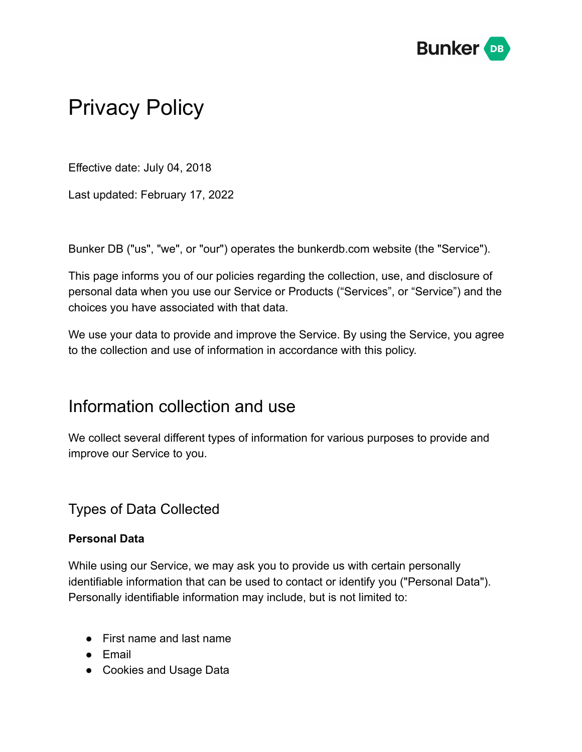

# Privacy Policy

Effective date: July 04, 2018

Last updated: February 17, 2022

Bunker DB ("us", "we", or "our") operates the bunkerdb.com website (the "Service").

This page informs you of our policies regarding the collection, use, and disclosure of personal data when you use our Service or Products ("Services", or "Service") and the choices you have associated with that data.

We use your data to provide and improve the Service. By using the Service, you agree to the collection and use of information in accordance with this policy.

#### Information collection and use

We collect several different types of information for various purposes to provide and improve our Service to you.

#### Types of Data Collected

#### **Personal Data**

While using our Service, we may ask you to provide us with certain personally identifiable information that can be used to contact or identify you ("Personal Data"). Personally identifiable information may include, but is not limited to:

- First name and last name
- Email
- Cookies and Usage Data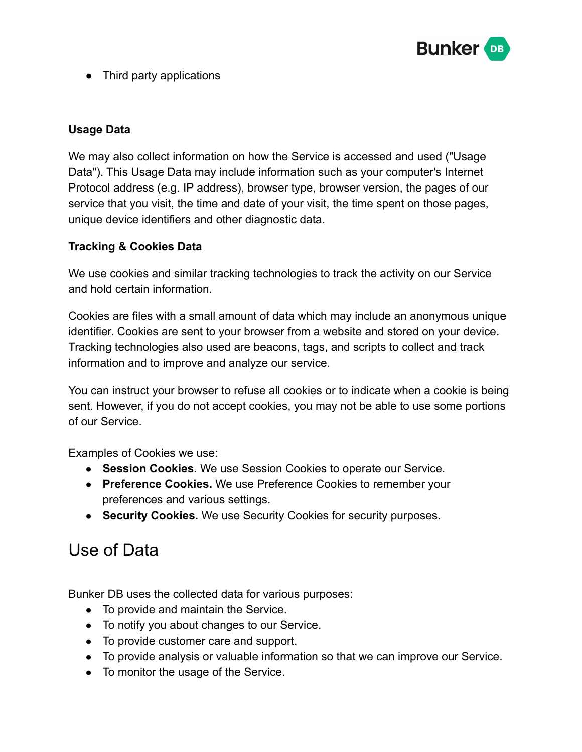

● Third party applications

#### **Usage Data**

We may also collect information on how the Service is accessed and used ("Usage Data"). This Usage Data may include information such as your computer's Internet Protocol address (e.g. IP address), browser type, browser version, the pages of our service that you visit, the time and date of your visit, the time spent on those pages, unique device identifiers and other diagnostic data.

#### **Tracking & Cookies Data**

We use cookies and similar tracking technologies to track the activity on our Service and hold certain information.

Cookies are files with a small amount of data which may include an anonymous unique identifier. Cookies are sent to your browser from a website and stored on your device. Tracking technologies also used are beacons, tags, and scripts to collect and track information and to improve and analyze our service.

You can instruct your browser to refuse all cookies or to indicate when a cookie is being sent. However, if you do not accept cookies, you may not be able to use some portions of our Service.

Examples of Cookies we use:

- **Session Cookies.** We use Session Cookies to operate our Service.
- **Preference Cookies.** We use Preference Cookies to remember your preferences and various settings.
- **Security Cookies.** We use Security Cookies for security purposes.

### Use of Data

Bunker DB uses the collected data for various purposes:

- To provide and maintain the Service.
- To notify you about changes to our Service.
- To provide customer care and support.
- To provide analysis or valuable information so that we can improve our Service.
- To monitor the usage of the Service.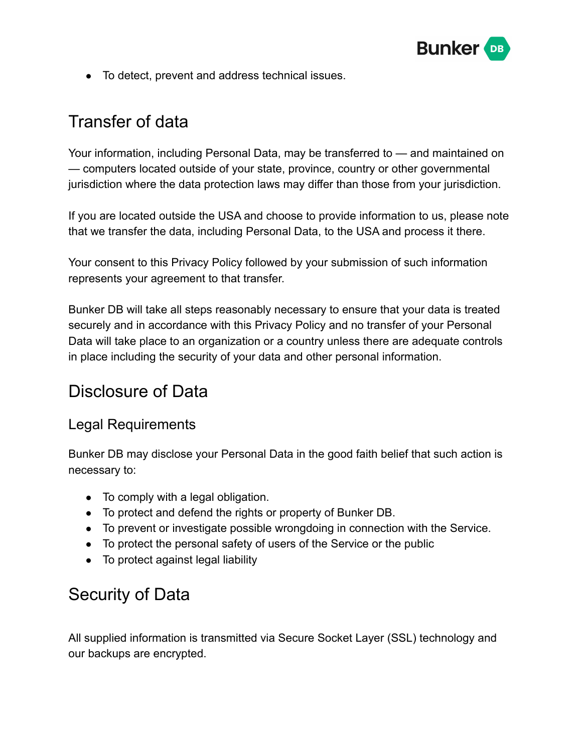

● To detect, prevent and address technical issues.

### Transfer of data

Your information, including Personal Data, may be transferred to — and maintained on — computers located outside of your state, province, country or other governmental jurisdiction where the data protection laws may differ than those from your jurisdiction.

If you are located outside the USA and choose to provide information to us, please note that we transfer the data, including Personal Data, to the USA and process it there.

Your consent to this Privacy Policy followed by your submission of such information represents your agreement to that transfer.

Bunker DB will take all steps reasonably necessary to ensure that your data is treated securely and in accordance with this Privacy Policy and no transfer of your Personal Data will take place to an organization or a country unless there are adequate controls in place including the security of your data and other personal information.

### Disclosure of Data

#### Legal Requirements

Bunker DB may disclose your Personal Data in the good faith belief that such action is necessary to:

- To comply with a legal obligation.
- To protect and defend the rights or property of Bunker DB.
- To prevent or investigate possible wrongdoing in connection with the Service.
- To protect the personal safety of users of the Service or the public
- To protect against legal liability

## Security of Data

All supplied information is transmitted via Secure Socket Layer (SSL) technology and our backups are encrypted.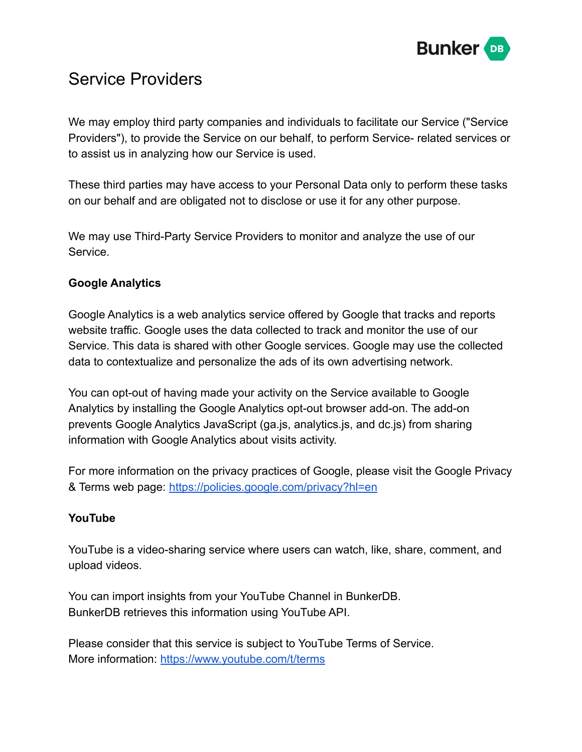

### Service Providers

We may employ third party companies and individuals to facilitate our Service ("Service Providers"), to provide the Service on our behalf, to perform Service- related services or to assist us in analyzing how our Service is used.

These third parties may have access to your Personal Data only to perform these tasks on our behalf and are obligated not to disclose or use it for any other purpose.

We may use Third-Party Service Providers to monitor and analyze the use of our Service.

#### **Google Analytics**

Google Analytics is a web analytics service offered by Google that tracks and reports website traffic. Google uses the data collected to track and monitor the use of our Service. This data is shared with other Google services. Google may use the collected data to contextualize and personalize the ads of its own advertising network.

You can opt-out of having made your activity on the Service available to Google Analytics by installing the Google Analytics opt-out browser add-on. The add-on prevents Google Analytics JavaScript (ga.js, analytics.js, and dc.js) from sharing information with Google Analytics about visits activity.

For more information on the privacy practices of Google, please visit the Google Privacy & Terms web page: <https://policies.google.com/privacy?hl=en>

#### **YouTube**

YouTube is a video-sharing service where users can watch, like, share, comment, and upload videos.

You can import insights from your YouTube Channel in BunkerDB. BunkerDB retrieves this information using YouTube API.

Please consider that this service is subject to YouTube Terms of Service. More information: <https://www.youtube.com/t/terms>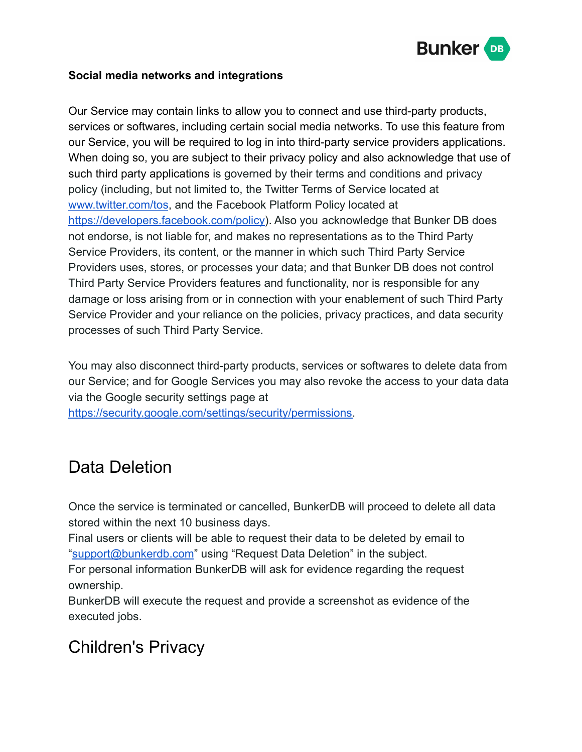

#### **Social media networks and integrations**

Our Service may contain links to allow you to connect and use third-party products, services or softwares, including certain social media networks. To use this feature from our Service, you will be required to log in into third-party service providers applications. When doing so, you are subject to their privacy policy and also acknowledge that use of such third party applications is governed by their terms and conditions and privacy policy (including, but not limited to, the Twitter Terms of Service located at [www.twitter.com/tos](https://www.twitter.com/tos), and the Facebook Platform Policy located at [https://developers.facebook.com/policy\)](https://developers.facebook.com/policy). Also you acknowledge that Bunker DB does not endorse, is not liable for, and makes no representations as to the Third Party Service Providers, its content, or the manner in which such Third Party Service Providers uses, stores, or processes your data; and that Bunker DB does not control Third Party Service Providers features and functionality, nor is responsible for any damage or loss arising from or in connection with your enablement of such Third Party Service Provider and your reliance on the policies, privacy practices, and data security processes of such Third Party Service.

You may also disconnect third-party products, services or softwares to delete data from our Service; and for Google Services you may also revoke the access to your data data via the Google security settings page at

[https://security.google.com/settings/security/permissions.](https://security.google.com/settings/security/permissions)

## Data Deletion

Once the service is terminated or cancelled, BunkerDB will proceed to delete all data stored within the next 10 business days.

Final users or clients will be able to request their data to be deleted by email to "[support@bunkerdb.com](mailto:support@bunkerdb.com)" using "Request Data Deletion" in the subject.

For personal information BunkerDB will ask for evidence regarding the request ownership.

BunkerDB will execute the request and provide a screenshot as evidence of the executed jobs.

### Children's Privacy